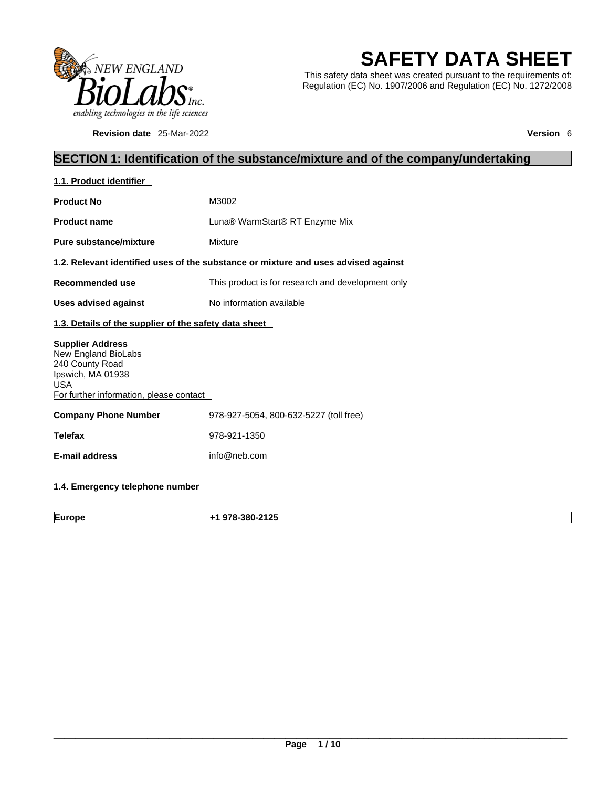

**Revision date** 25-Mar-2022 **Version** 6

# **SAFETY DATA SHEET**

This safety data sheet was created pursuant to the requirements of: Regulation (EC) No. 1907/2006 and Regulation (EC) No. 1272/2008

### **SECTION 1: Identification of the substance/mixture and of the company/undertaking**

| 1.1. Product identifier                                                                                                                         |                                                                                    |  |
|-------------------------------------------------------------------------------------------------------------------------------------------------|------------------------------------------------------------------------------------|--|
| <b>Product No</b>                                                                                                                               | M3002                                                                              |  |
| <b>Product name</b>                                                                                                                             | Luna® WarmStart® RT Enzyme Mix                                                     |  |
| Pure substance/mixture                                                                                                                          | Mixture                                                                            |  |
|                                                                                                                                                 | 1.2. Relevant identified uses of the substance or mixture and uses advised against |  |
| Recommended use                                                                                                                                 | This product is for research and development only                                  |  |
| <b>Uses advised against</b>                                                                                                                     | No information available                                                           |  |
| 1.3. Details of the supplier of the safety data sheet                                                                                           |                                                                                    |  |
| <b>Supplier Address</b><br>New England BioLabs<br>240 County Road<br>Ipswich, MA 01938<br><b>USA</b><br>For further information, please contact |                                                                                    |  |
| <b>Company Phone Number</b>                                                                                                                     | 978-927-5054, 800-632-5227 (toll free)                                             |  |
| Telefax                                                                                                                                         | 978-921-1350                                                                       |  |
|                                                                                                                                                 |                                                                                    |  |
| <b>E-mail address</b>                                                                                                                           | info@neb.com                                                                       |  |

### **1.4. Emergency telephone number**

**Europe +1 978-380-2125**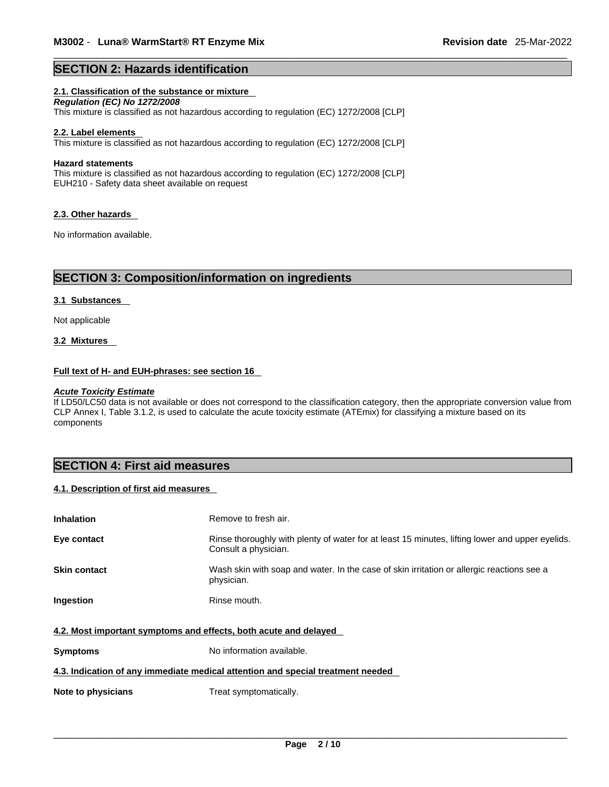### **SECTION 2: Hazards identification**

### **2.1. Classification of the substance or mixture**

*Regulation (EC) No 1272/2008*  This mixture is classified as not hazardous according to regulation (EC) 1272/2008 [CLP]

#### **2.2. Label elements**

This mixture is classified as not hazardous according to regulation (EC) 1272/2008 [CLP]

#### **Hazard statements**

This mixture is classified as not hazardous according to regulation (EC) 1272/2008 [CLP] EUH210 - Safety data sheet available on request

#### **2.3. Other hazards**

No information available.

### **SECTION 3: Composition/information on ingredients**

#### **3.1 Substances**

Not applicable

### **3.2 Mixtures**

#### **Full text of H- and EUH-phrases: see section 16**

#### *Acute Toxicity Estimate*

If LD50/LC50 data is not available or does not correspond to the classification category, then the appropriate conversion value from CLP Annex I, Table 3.1.2, is used to calculate the acute toxicity estimate (ATEmix) for classifying a mixture based on its components

### **SECTION 4: First aid measures**

### **4.1. Description of first aid measures**

| <b>Inhalation</b>                                                               | Remove to fresh air.                                                                                                    |  |
|---------------------------------------------------------------------------------|-------------------------------------------------------------------------------------------------------------------------|--|
| Eye contact                                                                     | Rinse thoroughly with plenty of water for at least 15 minutes, lifting lower and upper eyelids.<br>Consult a physician. |  |
| <b>Skin contact</b>                                                             | Wash skin with soap and water. In the case of skin irritation or allergic reactions see a<br>physician.                 |  |
| Ingestion                                                                       | Rinse mouth.                                                                                                            |  |
| 4.2. Most important symptoms and effects, both acute and delayed                |                                                                                                                         |  |
| <b>Symptoms</b>                                                                 | No information available.                                                                                               |  |
| 4.3. Indication of any immediate medical attention and special treatment needed |                                                                                                                         |  |
| Note to physicians                                                              | Treat symptomatically.                                                                                                  |  |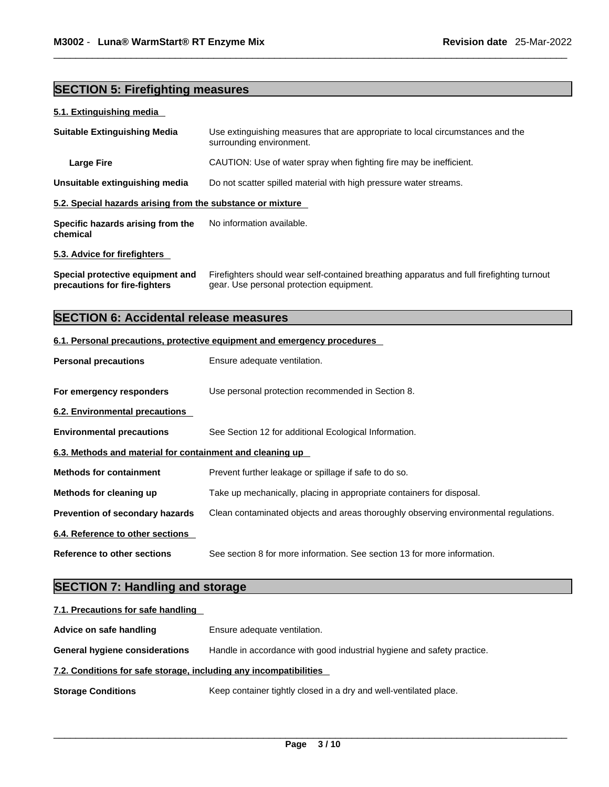### **SECTION 5: Firefighting measures**

### **5.1. Extinguishing media**

| <b>Suitable Extinguishing Media</b>                        | Use extinguishing measures that are appropriate to local circumstances and the<br>surrounding environment. |  |
|------------------------------------------------------------|------------------------------------------------------------------------------------------------------------|--|
| <b>Large Fire</b>                                          | CAUTION: Use of water spray when fighting fire may be inefficient.                                         |  |
| Unsuitable extinguishing media                             | Do not scatter spilled material with high pressure water streams.                                          |  |
| 5.2. Special hazards arising from the substance or mixture |                                                                                                            |  |
| Specific hazards arising from the<br>chemical              | No information available.                                                                                  |  |
| 5.3. Advice for firefighters                               |                                                                                                            |  |

**Special protective equipment and precautions for fire-fighters** Firefighters should wear self-contained breathing apparatus and full firefighting turnout gear. Use personal protection equipment.

### **SECTION 6: Accidental release measures**

### **6.1. Personal precautions, protective equipment and emergency procedures**

| <b>Personal precautions</b>                               | Ensure adequate ventilation.                                                         |  |
|-----------------------------------------------------------|--------------------------------------------------------------------------------------|--|
| For emergency responders                                  | Use personal protection recommended in Section 8.                                    |  |
| 6.2. Environmental precautions                            |                                                                                      |  |
| <b>Environmental precautions</b>                          | See Section 12 for additional Ecological Information.                                |  |
| 6.3. Methods and material for containment and cleaning up |                                                                                      |  |
| <b>Methods for containment</b>                            | Prevent further leakage or spillage if safe to do so.                                |  |
| Methods for cleaning up                                   | Take up mechanically, placing in appropriate containers for disposal.                |  |
| Prevention of secondary hazards                           | Clean contaminated objects and areas thoroughly observing environmental regulations. |  |
| 6.4. Reference to other sections                          |                                                                                      |  |
| Reference to other sections                               | See section 8 for more information. See section 13 for more information.             |  |

### **SECTION 7: Handling and storage**

| 7.1. Precautions for safe handling                                |                                                                        |  |
|-------------------------------------------------------------------|------------------------------------------------------------------------|--|
| Advice on safe handling                                           | Ensure adequate ventilation.                                           |  |
| <b>General hygiene considerations</b>                             | Handle in accordance with good industrial hygiene and safety practice. |  |
| 7.2. Conditions for safe storage, including any incompatibilities |                                                                        |  |
| <b>Storage Conditions</b>                                         | Keep container tightly closed in a dry and well-ventilated place.      |  |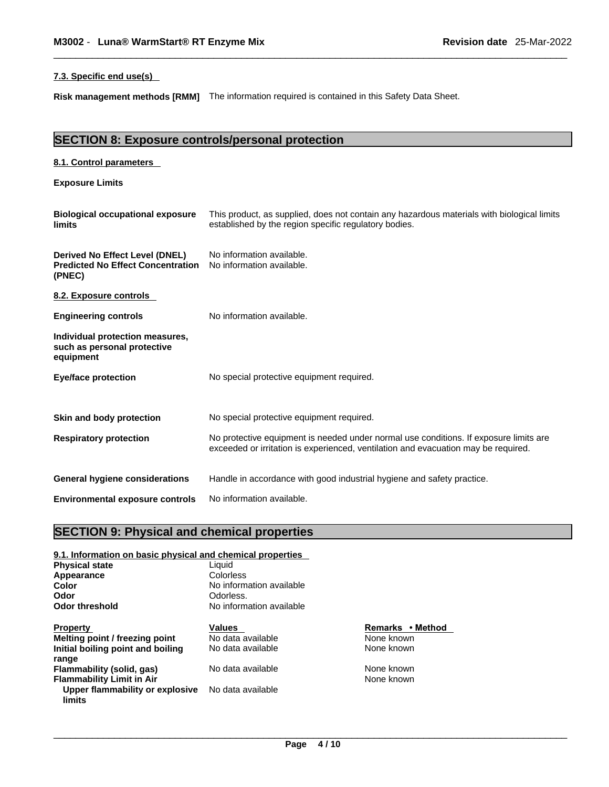### **7.3. Specific end use(s)**

**Risk management methods [RMM]** The information required iscontained in this Safety Data Sheet.

### **SECTION 8: Exposure controls/personal protection**

| 8.1. Control parameters                                                              |                                                                                                                                                                             |
|--------------------------------------------------------------------------------------|-----------------------------------------------------------------------------------------------------------------------------------------------------------------------------|
| <b>Exposure Limits</b>                                                               |                                                                                                                                                                             |
| <b>Biological occupational exposure</b><br>limits                                    | This product, as supplied, does not contain any hazardous materials with biological limits<br>established by the region specific regulatory bodies.                         |
| Derived No Effect Level (DNEL)<br><b>Predicted No Effect Concentration</b><br>(PNEC) | No information available.<br>No information available.                                                                                                                      |
| 8.2. Exposure controls                                                               |                                                                                                                                                                             |
| <b>Engineering controls</b>                                                          | No information available.                                                                                                                                                   |
| Individual protection measures,<br>such as personal protective<br>equipment          |                                                                                                                                                                             |
| <b>Eye/face protection</b>                                                           | No special protective equipment required.                                                                                                                                   |
| Skin and body protection                                                             | No special protective equipment required.                                                                                                                                   |
| <b>Respiratory protection</b>                                                        | No protective equipment is needed under normal use conditions. If exposure limits are<br>exceeded or irritation is experienced, ventilation and evacuation may be required. |
| <b>General hygiene considerations</b>                                                | Handle in accordance with good industrial hygiene and safety practice.                                                                                                      |
| <b>Environmental exposure controls</b>                                               | No information available.                                                                                                                                                   |

### **SECTION 9: Physical and chemical properties**

| 9.1. Information on basic physical and chemical properties |         |  |
|------------------------------------------------------------|---------|--|
| Liauid                                                     |         |  |
| Colorless                                                  |         |  |
| No information available                                   |         |  |
| Odorless.                                                  |         |  |
| No information available                                   |         |  |
| Values                                                     | Remark  |  |
| No data available                                          | None kr |  |
| No data available                                          | None kr |  |
|                                                            |         |  |
| No data available                                          | None kr |  |
|                                                            | None kr |  |
| No data available                                          |         |  |
|                                                            |         |  |

**Remarks • Method None known** None known

**None known None known**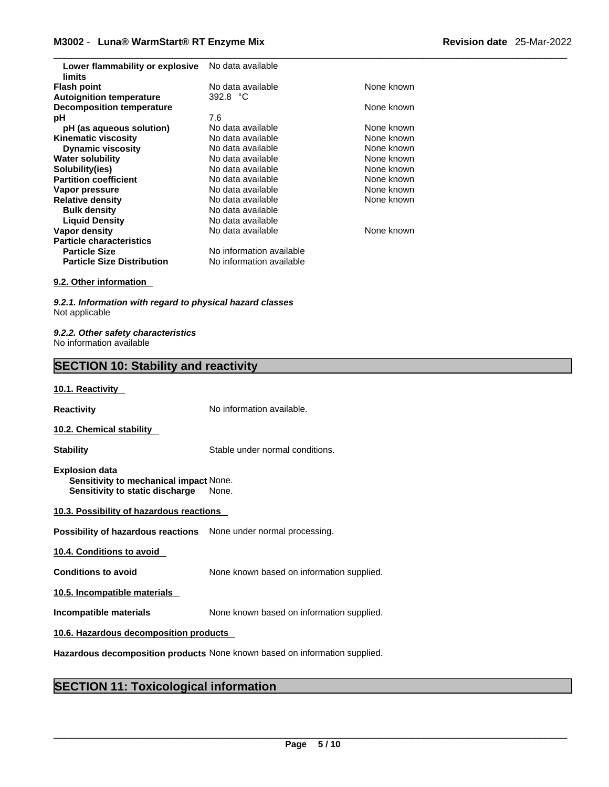| Lower flammability or explosive<br>limits | No data available        |            |
|-------------------------------------------|--------------------------|------------|
| <b>Flash point</b>                        | No data available        | None known |
| <b>Autoignition temperature</b>           | 392.8 $°C$               |            |
| <b>Decomposition temperature</b>          |                          | None known |
| рH                                        | 7.6                      |            |
| pH (as aqueous solution)                  | No data available        | None known |
| <b>Kinematic viscosity</b>                | No data available        | None known |
| <b>Dynamic viscosity</b>                  | No data available        | None known |
| <b>Water solubility</b>                   | No data available        | None known |
| Solubility(ies)                           | No data available        | None known |
| <b>Partition coefficient</b>              | No data available        | None known |
| Vapor pressure                            | No data available        | None known |
| <b>Relative density</b>                   | No data available        | None known |
| <b>Bulk density</b>                       | No data available        |            |
| <b>Liquid Density</b>                     | No data available        |            |
| Vapor density                             | No data available        | None known |
| <b>Particle characteristics</b>           |                          |            |
| <b>Particle Size</b>                      | No information available |            |
| <b>Particle Size Distribution</b>         | No information available |            |
|                                           |                          |            |

### **9.2. Other information**

*9.2.1. Information with regard to physical hazard classes* Not applicable

*9.2.2. Other safety characteristics* No information available

### **SECTION 10: Stability and reactivity**

#### **10.1. Reactivity**

**Reactivity No information available. 10.2. Chemical stability** 

**Stability** Stable under normal conditions.

**Explosion data Sensitivity to mechanical impact** None. **Sensitivity to static discharge** None.

| 10.3. Possibility of hazardous reactions |
|------------------------------------------|
|------------------------------------------|

**Possibility of hazardous reactions** None under normal processing.

**10.4. Conditions to avoid** 

**Conditions to avoid** None known based on information supplied.

**10.5. Incompatible materials**

**Incompatible materials** None known based on information supplied.

**10.6. Hazardous decomposition products** 

**Hazardous decomposition products** None known based on information supplied.

### **SECTION 11: Toxicological information**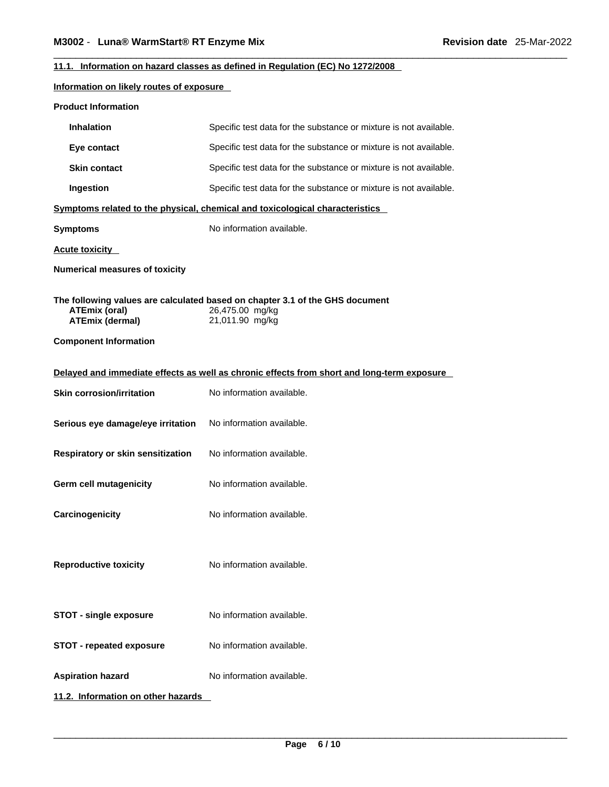### **11.1. Information on hazard classes as defined in Regulation (EC) No 1272/2008**

### **Information on likely routes of exposure**

| <b>Inhalation</b>                                                              | Specific test data for the substance or mixture is not available.                                                  |
|--------------------------------------------------------------------------------|--------------------------------------------------------------------------------------------------------------------|
| Eye contact                                                                    | Specific test data for the substance or mixture is not available.                                                  |
| <b>Skin contact</b>                                                            | Specific test data for the substance or mixture is not available.                                                  |
| Ingestion                                                                      | Specific test data for the substance or mixture is not available.                                                  |
|                                                                                | Symptoms related to the physical, chemical and toxicological characteristics                                       |
| <b>Symptoms</b>                                                                | No information available.                                                                                          |
| <b>Acute toxicity</b>                                                          |                                                                                                                    |
| <b>Numerical measures of toxicity</b>                                          |                                                                                                                    |
| <b>ATEmix (oral)</b><br><b>ATEmix (dermal)</b><br><b>Component Information</b> | The following values are calculated based on chapter 3.1 of the GHS document<br>26,475.00 mg/kg<br>21,011.90 mg/kg |
|                                                                                | Delayed and immediate effects as well as chronic effects from short and long-term exposure                         |
| <b>Skin corrosion/irritation</b>                                               | No information available.                                                                                          |
| Serious eye damage/eye irritation                                              | No information available.                                                                                          |
| Respiratory or skin sensitization                                              | No information available.                                                                                          |
| <b>Germ cell mutagenicity</b>                                                  | No information available.                                                                                          |
| Carcinogenicity                                                                | No information available.                                                                                          |
| <b>Reproductive toxicity</b>                                                   | No information available.                                                                                          |
| <b>STOT - single exposure</b>                                                  | No information available.                                                                                          |
| <b>STOT - repeated exposure</b>                                                | No information available.                                                                                          |
| <b>Aspiration hazard</b>                                                       | No information available.                                                                                          |
| 11.2. Information on other hazards                                             |                                                                                                                    |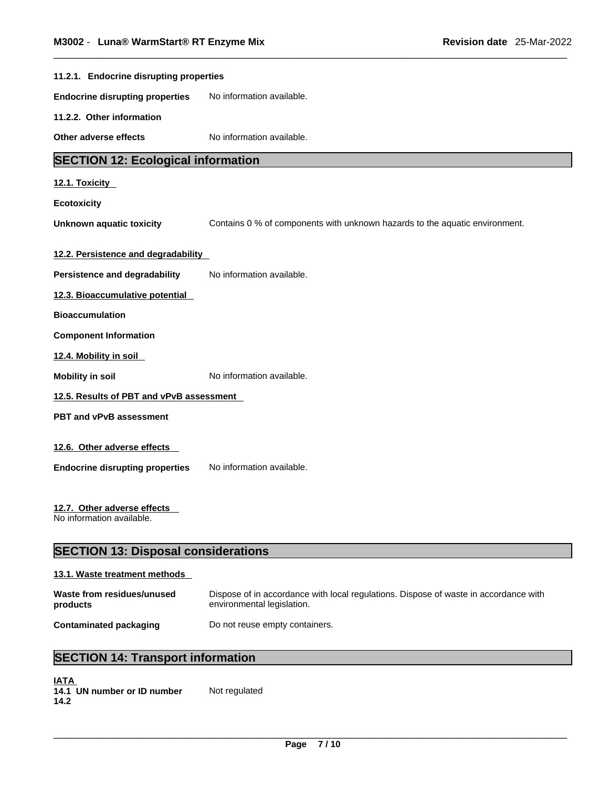| 11.2.1. Endocrine disrupting properties                  |                                                                             |
|----------------------------------------------------------|-----------------------------------------------------------------------------|
| <b>Endocrine disrupting properties</b>                   | No information available.                                                   |
| 11.2.2. Other information                                |                                                                             |
| Other adverse effects                                    | No information available.                                                   |
| <b>SECTION 12: Ecological information</b>                |                                                                             |
| 12.1. Toxicity                                           |                                                                             |
| <b>Ecotoxicity</b>                                       |                                                                             |
| <b>Unknown aquatic toxicity</b>                          | Contains 0 % of components with unknown hazards to the aquatic environment. |
|                                                          |                                                                             |
| 12.2. Persistence and degradability                      |                                                                             |
| Persistence and degradability                            | No information available.                                                   |
| 12.3. Bioaccumulative potential                          |                                                                             |
| <b>Bioaccumulation</b>                                   |                                                                             |
| <b>Component Information</b>                             |                                                                             |
| 12.4. Mobility in soil                                   |                                                                             |
| <b>Mobility in soil</b>                                  | No information available.                                                   |
| 12.5. Results of PBT and vPvB assessment                 |                                                                             |
| <b>PBT and vPvB assessment</b>                           |                                                                             |
| 12.6. Other adverse effects                              |                                                                             |
| <b>Endocrine disrupting properties</b>                   | No information available.                                                   |
|                                                          |                                                                             |
| 12.7. Other adverse effects<br>No information available. |                                                                             |
| <b>SECTION 13: Disposal considerations</b>               |                                                                             |

### **13.1. Waste treatment methods**

| Waste from residues/unused | Dispose of in accordance with local regulations. Dispose of waste in accordance with |
|----------------------------|--------------------------------------------------------------------------------------|
| products                   | environmental legislation.                                                           |
| Contaminated packaging     | Do not reuse empty containers.                                                       |

## **SECTION 14: Transport information**

| <b>IATA</b> |                             |               |
|-------------|-----------------------------|---------------|
|             | 14.1 UN number or ID number | Not regulated |
| 14.2        |                             |               |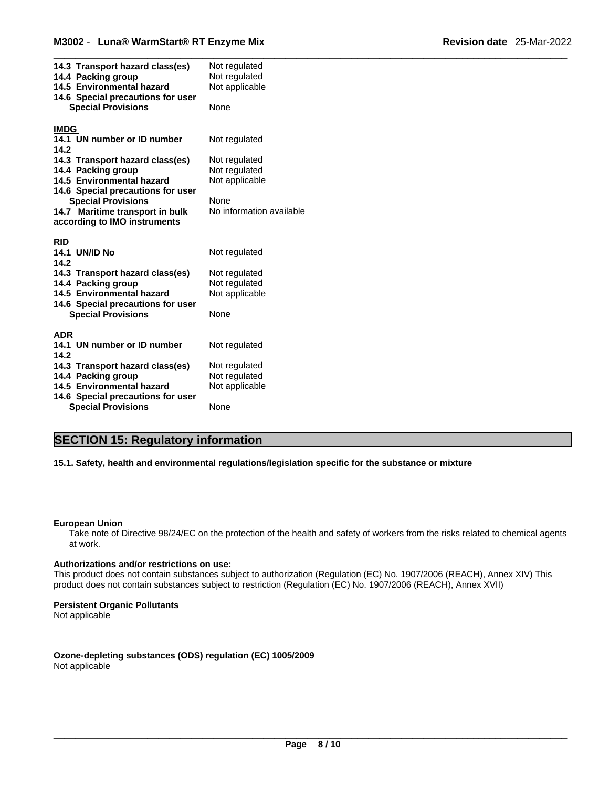| 14.3 Transport hazard class(es)<br>14.4 Packing group<br>14.5 Environmental hazard<br>14.6 Special precautions for user<br><b>Special Provisions</b> | Not regulated<br>Not regulated<br>Not applicable<br>None |  |
|------------------------------------------------------------------------------------------------------------------------------------------------------|----------------------------------------------------------|--|
|                                                                                                                                                      |                                                          |  |
| <b>IMDG</b>                                                                                                                                          |                                                          |  |
| 14.1 UN number or ID number<br>14.2                                                                                                                  | Not regulated                                            |  |
| 14.3 Transport hazard class(es)                                                                                                                      | Not regulated                                            |  |
| 14.4 Packing group                                                                                                                                   | Not regulated                                            |  |
| 14.5 Environmental hazard                                                                                                                            | Not applicable                                           |  |
| 14.6 Special precautions for user                                                                                                                    |                                                          |  |
| <b>Special Provisions</b>                                                                                                                            | None                                                     |  |
| 14.7 Maritime transport in bulk                                                                                                                      | No information available                                 |  |
| according to IMO instruments                                                                                                                         |                                                          |  |
|                                                                                                                                                      |                                                          |  |
| <b>RID</b>                                                                                                                                           |                                                          |  |
| <b>14.1 UN/ID No</b><br>14.2                                                                                                                         | Not regulated                                            |  |
| 14.3 Transport hazard class(es)                                                                                                                      | Not regulated                                            |  |
| 14.4 Packing group                                                                                                                                   | Not regulated                                            |  |
| 14.5 Environmental hazard                                                                                                                            | Not applicable                                           |  |
| 14.6 Special precautions for user                                                                                                                    |                                                          |  |
| <b>Special Provisions</b>                                                                                                                            | None                                                     |  |
|                                                                                                                                                      |                                                          |  |
| ADR                                                                                                                                                  |                                                          |  |
| 14.1 UN number or ID number<br>14.2                                                                                                                  | Not regulated                                            |  |
| 14.3 Transport hazard class(es)                                                                                                                      | Not regulated                                            |  |
| 14.4 Packing group                                                                                                                                   | Not regulated                                            |  |
| 14.5 Environmental hazard                                                                                                                            | Not applicable                                           |  |
| 14.6 Special precautions for user                                                                                                                    |                                                          |  |
| <b>Special Provisions</b>                                                                                                                            | None                                                     |  |

### **SECTION 15: Regulatory information**

**15.1. Safety, health and environmental regulations/legislation specific for the substance or mixture**

### **European Union**

Take note of Directive 98/24/EC on the protection of the health and safety of workers from the risks related to chemical agents at work.

### **Authorizations and/or restrictions on use:**

This product does not contain substances subject to authorization (Regulation (EC) No. 1907/2006 (REACH), Annex XIV) This product does not contain substances subject to restriction (Regulation (EC) No. 1907/2006 (REACH), Annex XVII)

### **Persistent Organic Pollutants**

Not applicable

**Ozone-depleting substances (ODS) regulation (EC) 1005/2009** Not applicable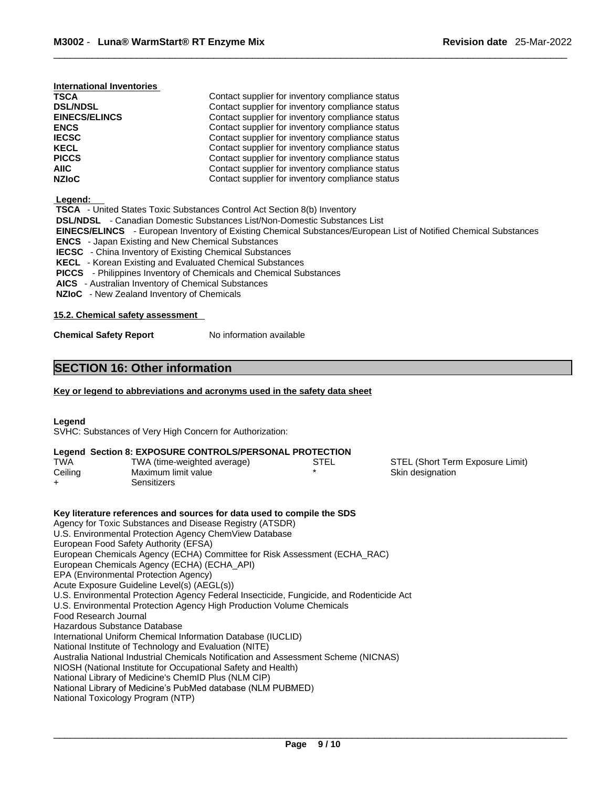| International Inventories |
|---------------------------|
|---------------------------|

| <b>TSCA</b>          | Contact supplier for inventory compliance status |  |
|----------------------|--------------------------------------------------|--|
| <b>DSL/NDSL</b>      | Contact supplier for inventory compliance status |  |
| <b>EINECS/ELINCS</b> | Contact supplier for inventory compliance status |  |
| <b>ENCS</b>          | Contact supplier for inventory compliance status |  |
| <b>IECSC</b>         | Contact supplier for inventory compliance status |  |
| <b>KECL</b>          | Contact supplier for inventory compliance status |  |
| <b>PICCS</b>         | Contact supplier for inventory compliance status |  |
| AIIC.                | Contact supplier for inventory compliance status |  |
| <b>NZIoC</b>         | Contact supplier for inventory compliance status |  |

 **Legend:** 

| -------                                                                                                                 |
|-------------------------------------------------------------------------------------------------------------------------|
| <b>TSCA</b> - United States Toxic Substances Control Act Section 8(b) Inventory                                         |
| <b>DSL/NDSL</b> - Canadian Domestic Substances List/Non-Domestic Substances List                                        |
| <b>EINECS/ELINCS</b> - European Inventory of Existing Chemical Substances/European List of Notified Chemical Substances |
| <b>ENCS</b> - Japan Existing and New Chemical Substances                                                                |
| <b>IECSC</b> - China Inventory of Existing Chemical Substances                                                          |
| <b>KECL</b> - Korean Existing and Evaluated Chemical Substances                                                         |
| <b>PICCS</b> - Philippines Inventory of Chemicals and Chemical Substances                                               |
| <b>AICS</b> - Australian Inventory of Chemical Substances                                                               |

 **NZIoC** - New Zealand Inventory of Chemicals

### **15.2. Chemical safety assessment**

**Chemical Safety Report** No information available

### **SECTION 16: Other information**

### **Key or legend to abbreviations and acronyms used in the safety data sheet**

**Legend** 

SVHC: Substances of Very High Concern for Authorization:

### **Legend Section 8: EXPOSURE CONTROLS/PERSONAL PROTECTION**

| <b>TWA</b> | TWA (time-weighted average) | STEL | STEL (Short Term Exposure Limit) |
|------------|-----------------------------|------|----------------------------------|
| Ceiling    | Maximum limit value         |      | Skin designation                 |
|            | Sensitizers                 |      |                                  |

**Key literature references and sources for data used to compile the SDS** Agency for Toxic Substances and Disease Registry (ATSDR) U.S. Environmental Protection Agency ChemView Database European Food Safety Authority (EFSA) European Chemicals Agency (ECHA) Committee for Risk Assessment (ECHA\_RAC) European Chemicals Agency (ECHA) (ECHA\_API) EPA (Environmental Protection Agency) Acute Exposure Guideline Level(s) (AEGL(s)) U.S. Environmental Protection Agency Federal Insecticide, Fungicide, and Rodenticide Act U.S. Environmental Protection Agency High Production Volume Chemicals Food Research Journal Hazardous Substance Database International Uniform Chemical Information Database (IUCLID) National Institute of Technology and Evaluation (NITE) Australia National Industrial Chemicals Notification and Assessment Scheme (NICNAS) NIOSH (National Institute for Occupational Safety and Health) National Library of Medicine's ChemID Plus (NLM CIP) National Library of Medicine's PubMed database (NLM PUBMED) National Toxicology Program (NTP)